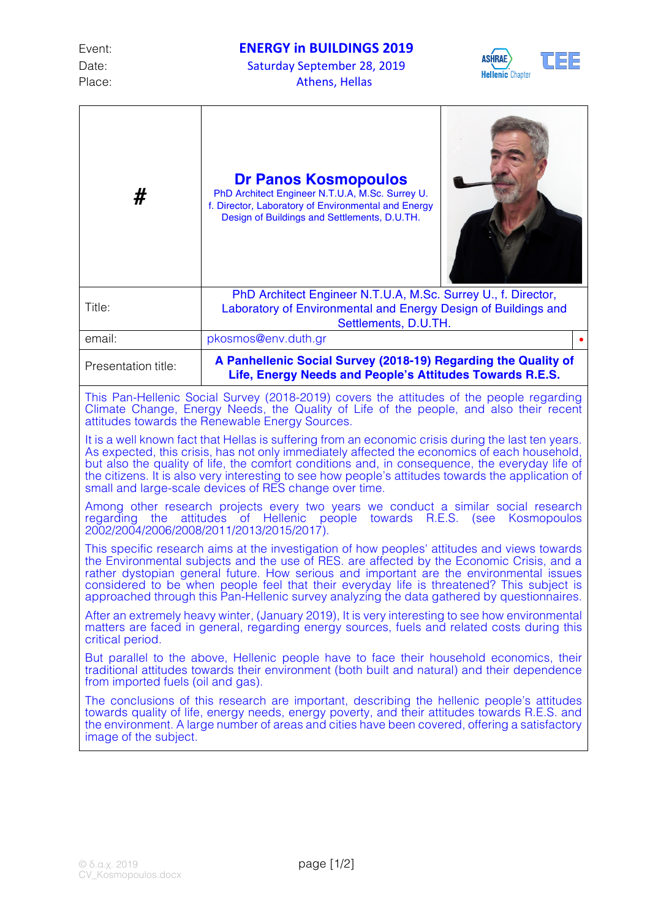Date: Saturday September 28, 2019 Place: Athens, Hellas



| #                                                                                                                                                                                                                                                                                                                                                                                                                                                                               | Dr Panos Kosmopoulos<br>PhD Architect Engineer N.T.U.A, M.Sc. Surrey U.<br>f. Director, Laboratory of Environmental and Energy<br>Design of Buildings and Settlements, D.U.TH. |
|---------------------------------------------------------------------------------------------------------------------------------------------------------------------------------------------------------------------------------------------------------------------------------------------------------------------------------------------------------------------------------------------------------------------------------------------------------------------------------|--------------------------------------------------------------------------------------------------------------------------------------------------------------------------------|
| Title:                                                                                                                                                                                                                                                                                                                                                                                                                                                                          | PhD Architect Engineer N.T.U.A, M.Sc. Surrey U., f. Director,<br>Laboratory of Environmental and Energy Design of Buildings and<br>Settlements, D.U.TH.                        |
| email:                                                                                                                                                                                                                                                                                                                                                                                                                                                                          | pkosmos@env.duth.gr                                                                                                                                                            |
| Presentation title:                                                                                                                                                                                                                                                                                                                                                                                                                                                             | A Panhellenic Social Survey (2018-19) Regarding the Quality of<br>Life, Energy Needs and People's Attitudes Towards R.E.S.                                                     |
| This Pan-Hellenic Social Survey (2018-2019) covers the attitudes of the people regarding<br>Climate Change, Energy Needs, the Quality of Life of the people, and also their recent<br>attitudes towards the Renewable Energy Sources.                                                                                                                                                                                                                                           |                                                                                                                                                                                |
| It is a well known fact that Hellas is suffering from an economic crisis during the last ten years.<br>As expected, this crisis, has not only immediately affected the economics of each household,<br>but also the quality of life, the comfort conditions and, in consequence, the everyday life of<br>the citizens. It is also very interesting to see how people's attitudes towards the application of<br>small and large-scale devices of RES change over time.           |                                                                                                                                                                                |
| Among other research projects every two years we conduct a similar social research<br>attitudes of Hellenic people towards R.E.S.<br>Kosmopoulos<br>regarding the<br>(see<br>2002/2004/2006/2008/2011/2013/2015/2017).                                                                                                                                                                                                                                                          |                                                                                                                                                                                |
| This specific research aims at the investigation of how peoples' attitudes and views towards<br>the Environmental subjects and the use of RES, are affected by the Economic Crisis, and a<br>rather dystopian general future. How serious and important are the environmental issues<br>considered to be when people feel that their everyday life is threatened? This subject is<br>approached through this Pan-Hellenic survey analyzing the data gathered by questionnaires. |                                                                                                                                                                                |
| After an extremely heavy winter, (January 2019), It is very interesting to see how environmental<br>matters are faced in general, regarding energy sources, fuels and related costs during this<br>critical period.                                                                                                                                                                                                                                                             |                                                                                                                                                                                |
| But parallel to the above, Hellenic people have to face their household economics, their<br>traditional attitudes towards their environment (both built and natural) and their dependence<br>from imported fuels (oil and gas).                                                                                                                                                                                                                                                 |                                                                                                                                                                                |
| The conclusions of this research are important, describing the hellenic people's attitudes<br>towards quality of life, energy needs, energy poverty, and their attitudes towards R.E.S. and<br>the environment. A large number of areas and cities have been covered, offering a satisfactory<br>image of the subject.                                                                                                                                                          |                                                                                                                                                                                |